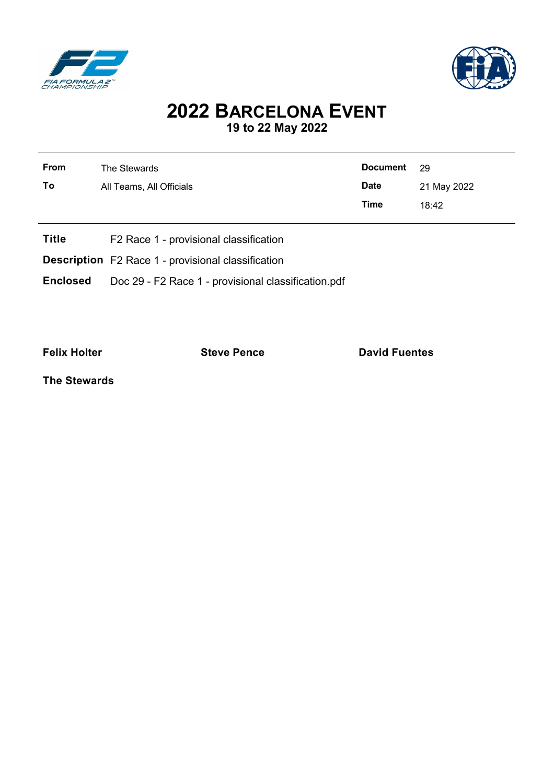



## **2022 BARCELONA EVENT 19 to 22 May 2022**

| <b>From</b>  | The Stewards                           | <b>Document</b> | 29          |
|--------------|----------------------------------------|-----------------|-------------|
| Τo           | All Teams, All Officials               | <b>Date</b>     | 21 May 2022 |
|              |                                        | <b>Time</b>     | 18:42       |
| <b>Title</b> | F2 Race 1 - provisional classification |                 |             |

**Description** F2 Race 1 - provisional classification

**Enclosed** Doc 29 - F2 Race 1 - provisional classification.pdf

**Felix Holter Constanting Steve Pence Constanting David Fuentes** 

**The Stewards**